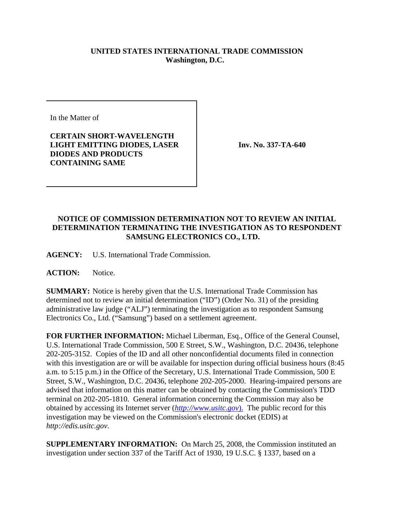## **UNITED STATES INTERNATIONAL TRADE COMMISSION Washington, D.C.**

In the Matter of

## **CERTAIN SHORT-WAVELENGTH LIGHT EMITTING DIODES, LASER DIODES AND PRODUCTS CONTAINING SAME**

**Inv. No. 337-TA-640**

## **NOTICE OF COMMISSION DETERMINATION NOT TO REVIEW AN INITIAL DETERMINATION TERMINATING THE INVESTIGATION AS TO RESPONDENT SAMSUNG ELECTRONICS CO., LTD.**

**AGENCY:** U.S. International Trade Commission.

ACTION: Notice.

**SUMMARY:** Notice is hereby given that the U.S. International Trade Commission has determined not to review an initial determination ("ID") (Order No. 31) of the presiding administrative law judge ("ALJ") terminating the investigation as to respondent Samsung Electronics Co., Ltd. ("Samsung") based on a settlement agreement.

**FOR FURTHER INFORMATION:** Michael Liberman, Esq., Office of the General Counsel, U.S. International Trade Commission, 500 E Street, S.W., Washington, D.C. 20436, telephone 202-205-3152. Copies of the ID and all other nonconfidential documents filed in connection with this investigation are or will be available for inspection during official business hours (8:45 a.m. to 5:15 p.m.) in the Office of the Secretary, U.S. International Trade Commission, 500 E Street, S.W., Washington, D.C. 20436, telephone 202-205-2000. Hearing-impaired persons are advised that information on this matter can be obtained by contacting the Commission's TDD terminal on 202-205-1810. General information concerning the Commission may also be obtained by accessing its Internet server (*http://www.usitc.gov*). The public record for this investigation may be viewed on the Commission's electronic docket (EDIS) at *http://edis.usitc.gov*.

**SUPPLEMENTARY INFORMATION:** On March 25, 2008, the Commission instituted an investigation under section 337 of the Tariff Act of 1930, 19 U.S.C. § 1337, based on a